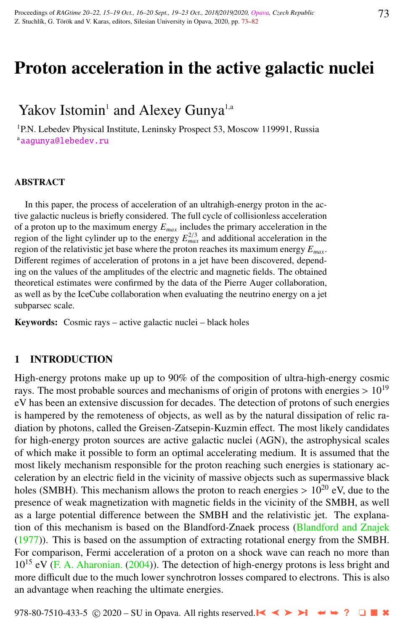# Proton acceleration in the active galactic nuclei

# Yakov Istomin<sup>1</sup> and Alexey Gunya<sup>1,a</sup>

<sup>1</sup>P.N. Lebedev Physical Institute, Leninsky Prospect 53, Moscow 119991, Russia [aagunya@lebedev.ru](http://www.physics.cz/ aagunya@lebedev.ru)

#### ABSTRACT

In this paper, the process of acceleration of an ultrahigh-energy proton in the active galactic nucleus is briefly considered. The full cycle of collisionless acceleration of a proton up to the maximum energy *Emax* includes the primary acceleration in the region of the light cylinder up to the energy  $E_{max}^{2/3}$  and additional acceleration in the region of the relativistic jet base where the proton reaches its maximum energy *Emax*. Different regimes of acceleration of protons in a jet have been discovered, depending on the values of the amplitudes of the electric and magnetic fields. The obtained theoretical estimates were confirmed by the data of the Pierre Auger collaboration, as well as by the IceCube collaboration when evaluating the neutrino energy on a jet subparsec scale.

Keywords: Cosmic rays – active galactic nuclei – black holes

#### 1 INTRODUCTION

High-energy protons make up up to 90% of the composition of ultra-high-energy cosmic rays. The most probable sources and mechanisms of origin of protons with energies  $> 10^{19}$ eV has been an extensive discussion for decades. The detection of protons of such energies is hampered by the remoteness of objects, as well as by the natural dissipation of relic radiation by photons, called the Greisen-Zatsepin-Kuzmin effect. The most likely candidates for high-energy proton sources are active galactic nuclei (AGN), the astrophysical scales of which make it possible to form an optimal accelerating medium. It is assumed that the most likely mechanism responsible for the proton reaching such energies is stationary acceleration by an electric field in the vicinity of massive objects such as supermassive black holes (SMBH). This mechanism allows the proton to reach energies  $> 10^{20}$  eV, due to the presence of weak magnetization with magnetic fields in the vicinity of the SMBH, as well as a large potential difference between the SMBH and the relativistic jet. The explanation of this mechanism is based on the Blandford-Znaek process [\(Blandford and Znajek](#page-8-0) [\(1977\)](#page-8-0)). This is based on the assumption of extracting rotational energy from the SMBH. For comparison, Fermi acceleration of a proton on a shock wave can reach no more than  $10^{15}$  eV [\(F. A. Aharonian.](#page-8-0) [\(2004\)](#page-8-0)). The detection of high-energy protons is less bright and more difficult due to the much lower synchrotron losses compared to electrons. This is also an advantage when reaching the ultimate energies.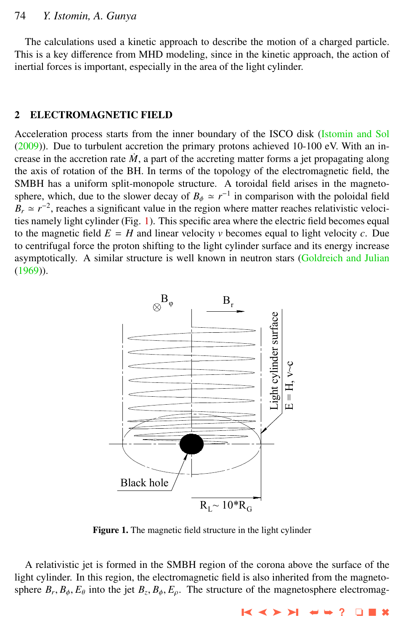The calculations used a kinetic approach to describe the motion of a charged particle. This is a key difference from MHD modeling, since in the kinetic approach, the action of inertial forces is important, especially in the area of the light cylinder.

#### 2 ELECTROMAGNETIC FIELD

Acceleration process starts from the inner boundary of the ISCO disk [\(Istomin and Sol](#page-8-0)  $(2009)$ ). Due to turbulent accretion the primary protons achieved 10-100 eV. With an increase in the accretion rate  $\dot{M}$ , a part of the accreting matter forms a jet propagating along the axis of rotation of the BH. In terms of the topology of the electromagnetic field, the SMBH has a uniform split-monopole structure. A toroidal field arises in the magnetosphere, which, due to the slower decay of  $B_{\phi} \simeq r^{-1}$  in comparison with the poloidal field<br>*P*<sub>n</sub>  $\approx r^{-2}$  reaches a similizent value in the region where matter reaches relativistic value.  $B_r \simeq r^{-2}$ , reaches a significant value in the region where matter reaches relativistic velocities namely light cylinder (Fig. 1). This specific area where the electric field becomes equal to the magnetic field  $E = H$  and linear velocity *v* becomes equal to light velocity *c*. Due to centrifugal force the proton shifting to the light cylinder surface and its energy increase asymptotically. A similar structure is well known in neutron stars [\(Goldreich and Julian](#page-8-0) [\(1969\)](#page-8-0)).



Figure 1. The magnetic field structure in the light cylinder

A relativistic jet is formed in the SMBH region of the corona above the surface of the light cylinder. In this region, the electromagnetic field is also inherited from the magnetosphere  $B_r$ ,  $B_\phi$ ,  $E_\theta$  into the jet  $B_z$ ,  $B_\phi$ ,  $E_\rho$ . The structure of the magnetosphere electromag-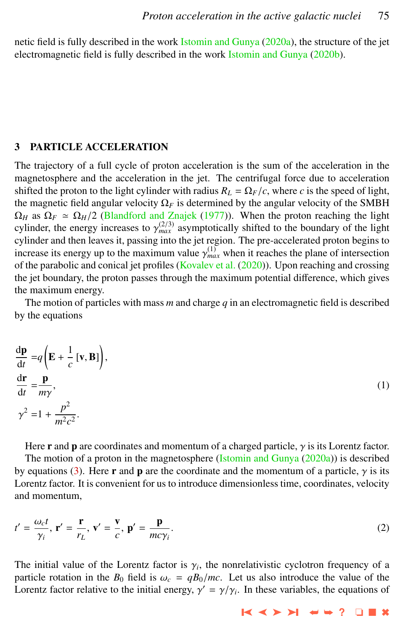netic field is fully described in the work [Istomin and Gunya](#page-8-0) [\(2020a\)](#page-8-0), the structure of the jet electromagnetic field is fully described in the work [Istomin and Gunya](#page-8-0) [\(2020b\)](#page-8-0).

### 3 PARTICLE ACCELERATION

The trajectory of a full cycle of proton acceleration is the sum of the acceleration in the magnetosphere and the acceleration in the jet. The centrifugal force due to acceleration shifted the proton to the light cylinder with radius  $R_L = \Omega_F/c$ , where *c* is the speed of light, the magnetic field angular velocity  $\Omega_F$  is determined by the angular velocity of the SMBH  $\Omega_H$  as  $\Omega_F \simeq \Omega_H/2$  [\(Blandford and Znajek](#page-8-0) [\(1977\)](#page-8-0)). When the proton reaching the light cylinder, the energy increases to  $\gamma_{max}^{(2/3)}$  asymptotically shifted to the boundary of the light<br>cylinder and then leaves it, passing into the jet region. The pre-accelerated proton begins to cylinder and then leaves it, passing into the jet region. The pre-accelerated proton begins to increase its energy up to the maximum value  $\gamma_{max}^{(1)}$  when it reaches the plane of intersection of the parabolic and conjcal jet profiles (Kovalev et al. (2020)). Upon reaching and crossing of the parabolic and conical jet profiles [\(Kovalev et al.](#page-9-0) [\(2020\)](#page-9-0)). Upon reaching and crossing the jet boundary, the proton passes through the maximum potential difference, which gives the maximum energy.

The motion of particles with mass *m* and charge *q* in an electromagnetic field is described by the equations

$$
\frac{d\mathbf{p}}{dt} = q \left( \mathbf{E} + \frac{1}{c} [\mathbf{v}, \mathbf{B}] \right),\n\frac{d\mathbf{r}}{dt} = \frac{\mathbf{p}}{m\gamma},\n\gamma^2 = 1 + \frac{p^2}{m^2 c^2}.
$$
\n(1)

Here **r** and **p** are coordinates and momentum of a charged particle,  $\gamma$  is its Lorentz factor. The motion of a proton in the magnetosphere [\(Istomin and Gunya](#page-8-0) [\(2020a\)](#page-8-0)) is described by equations [\(3\)](#page-3-0). Here **r** and **p** are the coordinate and the momentum of a particle,  $\gamma$  is its Lorentz factor. It is convenient for us to introduce dimensionless time, coordinates, velocity and momentum,

$$
t' = \frac{\omega_c t}{\gamma_i}, \ \mathbf{r}' = \frac{\mathbf{r}}{r_L}, \ \mathbf{v}' = \frac{\mathbf{v}}{c}, \ \mathbf{p}' = \frac{\mathbf{p}}{mc\gamma_i}.
$$

The initial value of the Lorentz factor is  $\gamma_i$ , the nonrelativistic cyclotron frequency of a<br>particle rotation in the  $B_2$  field is  $\omega_i = aB_2/mc$ . Let us also introduce the value of the particle rotation in the  $B_0$  field is  $\omega_c = qB_0/mc$ . Let us also introduce the value of the Lorentz factor relative to the initial energy,  $\gamma' = \gamma/\gamma_i$ . In these variables, the equations of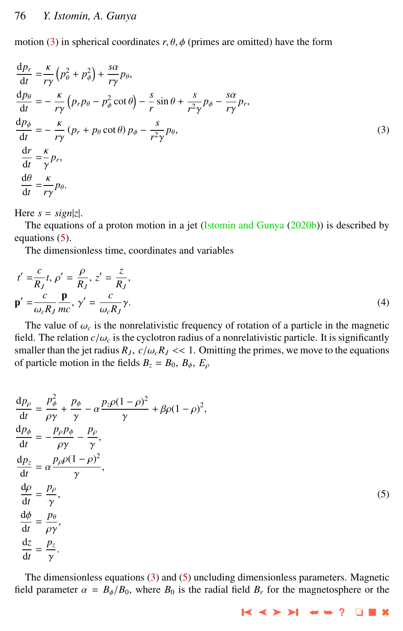<span id="page-3-0"></span>motion (3) in spherical coordinates  $r, \theta, \phi$  (primes are omitted) have the form

$$
\frac{dp_r}{dt} = \frac{\kappa}{r\gamma} \left( p_\theta^2 + p_\phi^2 \right) + \frac{s\alpha}{r\gamma} p_\theta,
$$
\n
$$
\frac{dp_\theta}{dt} = -\frac{\kappa}{r\gamma} \left( p_r p_\theta - p_\phi^2 \cot \theta \right) - \frac{s}{r} \sin \theta + \frac{s}{r^2 \gamma} p_\phi - \frac{s\alpha}{r\gamma} p_r,
$$
\n
$$
\frac{dp_\phi}{dt} = -\frac{\kappa}{r\gamma} \left( p_r + p_\theta \cot \theta \right) p_\phi - \frac{s}{r^2 \gamma} p_\theta,
$$
\n
$$
\frac{dr}{dt} = \frac{\kappa}{\gamma} p_r,
$$
\n
$$
\frac{d\theta}{dt} = \frac{\kappa}{r\gamma} p_\theta.
$$
\n(3)

Here  $s = \text{sign}|z|$ .

The equations of a proton motion in a jet [\(Istomin and Gunya](#page-8-0) [\(2020b\)](#page-8-0)) is described by equations (5).

The dimensionless time, coordinates and variables

$$
t' = \frac{c}{R_J}t, \rho' = \frac{\rho}{R_J}, z' = \frac{z}{R_J},
$$
  

$$
\mathbf{p}' = \frac{c}{\omega_c R_J} \frac{\mathbf{p}}{mc}, \gamma' = \frac{c}{\omega_c R_J} \gamma.
$$
  
(4)

The value of  $\omega_c$  is the nonrelativistic frequency of rotation of a particle in the magnetic  $\mathbf{d}$ . The relation  $c/\omega$  is the cyclotron radius of a nonrelativistic particle. It is significantly field. The relation  $c/\omega_c$  is the cyclotron radius of a nonrelativistic particle. It is significantly smaller than the jet radius  $R_J$ ,  $c/\omega_c R_J$  << 1. Omitting the primes, we move to the equations of particle motion in the fields  $B_z = B_0$ ,  $B_{\phi}$ ,  $E_{\rho}$ 

$$
\frac{dp_{\rho}}{dt} = \frac{p_{\phi}^{2}}{\rho \gamma} + \frac{p_{\phi}}{\gamma} - \alpha \frac{p_{z}\rho(1-\rho)^{2}}{\gamma} + \beta \rho (1-\rho)^{2},
$$
\n
$$
\frac{dp_{\phi}}{dt} = -\frac{p_{\rho}p_{\phi}}{\rho \gamma} - \frac{p_{\rho}}{\gamma},
$$
\n
$$
\frac{dp_{z}}{dt} = \alpha \frac{p_{\rho}\rho(1-\rho)^{2}}{\gamma},
$$
\n
$$
\frac{d\rho}{dt} = \frac{p_{\rho}}{\gamma},
$$
\n
$$
\frac{d\phi}{dt} = \frac{p_{\theta}}{\rho \gamma},
$$
\n
$$
\frac{dz}{dt} = \frac{p_{z}}{\gamma}.
$$
\n(5)

The dimensionless equations (3) and (5) uncluding dimensionless parameters. Magnetic field parameter  $\alpha = B_{\phi}/B_0$ , where  $B_0$  is the radial field  $B_r$  for the magnetosphere or the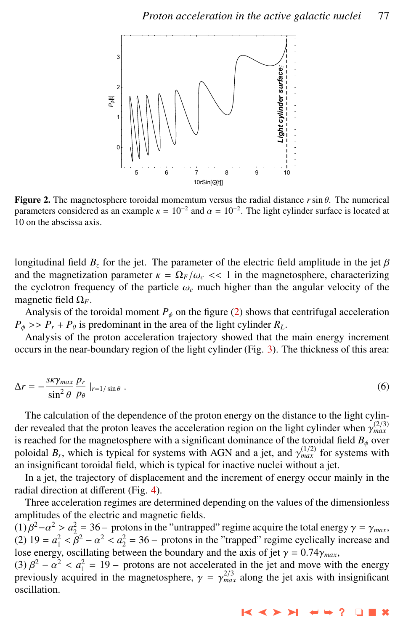

**Figure 2.** The magnetosphere toroidal momemtum versus the radial distance  $r \sin \theta$ . The numerical parameters considered as an example  $\kappa = 10^{-2}$  and  $\alpha = 10^{-2}$ . The light cylinder surface is located at 10 on the abscissa axis 10 on the abscissa axis.

longitudinal field  $B_z$  for the jet. The parameter of the electric field amplitude in the jet  $\beta$ and the magnetization parameter  $\kappa = \Omega_F/\omega_c \ll 1$  in the magnetosphere, characterizing the cyclotron frequency of the particle  $\omega_c$  much higher than the angular velocity of the magnetic field  $\Omega_F$ .

Analysis of the toroidal moment  $P_{\phi}$  on the figure (2) shows that centrifugal acceleration  $P_{\phi}$  >>  $P_r + P_{\theta}$  is predominant in the area of the light cylinder  $R_L$ .

Analysis of the proton acceleration trajectory showed that the main energy increment occurs in the near-boundary region of the light cylinder (Fig. [3\)](#page-5-0). The thickness of this area:

$$
\Delta r = -\frac{s\kappa\gamma_{max}}{\sin^2\theta} \frac{p_r}{p_\theta} \Big|_{r=1/\sin\theta} \,. \tag{6}
$$

The calculation of the dependence of the proton energy on the distance to the light cylinder revealed that the proton leaves the acceleration region on the light cylinder when  $\gamma_{\text{max}}^{(2/3)}$ <br>is reached for the magnetosphere with a significant dominance of the toroidal field *B*, over is reached for the magnetosphere with a significant dominance of the toroidal field  $B_{\phi}$  over poloidal  $B_r$ , which is typical for systems with AGN and a jet, and  $\gamma_{\text{max}}^{(1/2)}$  for systems with an insignificant toroidal field, which is typical for inactive nuclei without a jet an insignificant toroidal field, which is typical for inactive nuclei without a jet.

In a jet, the trajectory of displacement and the increment of energy occur mainly in the radial direction at different (Fig. [4\)](#page-5-0).

Three acceleration regimes are determined depending on the values of the dimensionless amplitudes of the electric and magnetic fields.

(1)  $\beta^2 - \alpha^2 > \alpha_2^2 = 36$  – protons in the "untrapped" regime acquire the total energy  $\gamma = \gamma_{max}$ ,<br>(2)  $19 - \alpha^2 < \beta^2 - \alpha^2 < \alpha^2 = 36$  – protons in the "trapped" regime cyclically increase and (2)  $19 = a_1^2 < \overline{\beta}^2 - \alpha^2 < a_2^2 = 36$  – protons in the "trapped" regime cyclically increase and lose energy oscillating between the boundary and the axis of jet  $\alpha = 0.74\alpha$ lose energy, oscillating between the boundary and the axis of jet  $\gamma = 0.74\gamma_{max}$ ,

(3)  $\beta^2 - \alpha^2 < \alpha_1^2 = 19$  – protons are not accelerated in the jet and move with the energy<br>previously acquired in the magnetosphere,  $\alpha = \alpha^{2/3}$  along the jet axis with insignificant previously acquired in the magnetosphere,  $\gamma = \gamma_{max}^{2/3}$  along the jet axis with insignificant oscillation oscillation.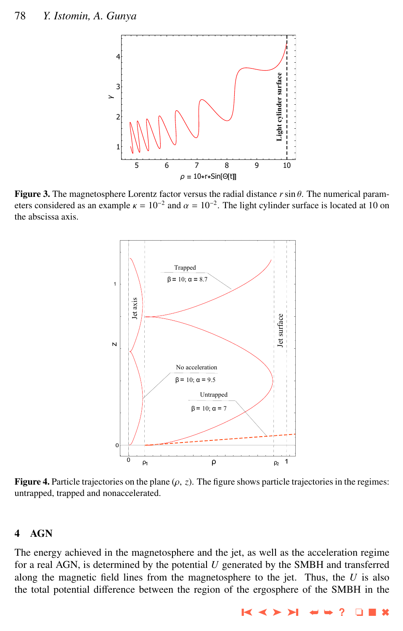<span id="page-5-0"></span>

Figure 3. The magnetosphere Lorentz factor versus the radial distance *<sup>r</sup>*sin θ. The numerical parameters considered as an example  $\kappa = 10^{-2}$  and  $\alpha = 10^{-2}$ . The light cylinder surface is located at 10 on the abscissa axis the abscissa axis.



Figure 4. Particle trajectories on the plane  $(\rho, z)$ . The figure shows particle trajectories in the regimes: untrapped, trapped and nonaccelerated.

## 4 AGN

The energy achieved in the magnetosphere and the jet, as well as the acceleration regime for a real AGN, is determined by the potential *U* generated by the SMBH and transferred along the magnetic field lines from the magnetosphere to the jet. Thus, the *U* is also the total potential difference between the region of the ergosphere of the SMBH in the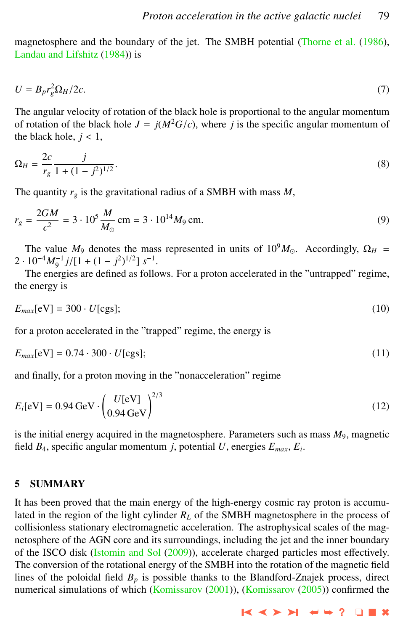magnetosphere and the boundary of the jet. The SMBH potential [\(Thorne et al.](#page-9-0) [\(1986\)](#page-9-0), [Landau and Lifshitz](#page-9-0) [\(1984\)](#page-9-0)) is

$$
U = B_p r_g^2 \Omega_H / 2c. \tag{7}
$$

The angular velocity of rotation of the black hole is proportional to the angular momentum of rotation of the black hole  $J = j(M^2G/c)$ , where *j* is the specific angular momentum of the black hole,  $j < 1$ ,

$$
\Omega_H = \frac{2c}{r_g} \frac{j}{1 + (1 - j^2)^{1/2}}.
$$
\n(8)

The quantity  $r_g$  is the gravitational radius of a SMBH with mass  $M$ ,

$$
r_g = \frac{2GM}{c^2} = 3 \cdot 10^5 \frac{M}{M_\odot} \text{ cm} = 3 \cdot 10^{14} M_9 \text{ cm}.
$$
 (9)

The value  $M_9$  denotes the mass represented in units of  $10^9 M_{\odot}$ . Accordingly,  $\Omega_H$  =  $2 \cdot 10^{-4} M_9^{-1} j / [1 + (1 - j^2)^{1/2}] s^{-1}$ .<br>The energies are defined as follo

The energies are defined as follows. For a proton accelerated in the "untrapped" regime, the energy is

$$
E_{max}[eV] = 300 \cdot U[\text{cgs}];\tag{10}
$$

for a proton accelerated in the "trapped" regime, the energy is

$$
E_{max}[eV] = 0.74 \cdot 300 \cdot U[\text{cgs}];\tag{11}
$$

and finally, for a proton moving in the "nonacceleration" regime

$$
E_i[eV] = 0.94 \text{ GeV} \cdot \left(\frac{U[eV]}{0.94 \text{ GeV}}\right)^{2/3} \tag{12}
$$

is the initial energy acquired in the magnetosphere. Parameters such as mass *M*9, magnetic field *B*4, specific angular momentum *j*, potential *U*, energies *Emax*, *E<sup>i</sup>* .

#### 5 SUMMARY

It has been proved that the main energy of the high-energy cosmic ray proton is accumulated in the region of the light cylinder  $R_L$  of the SMBH magnetosphere in the process of collisionless stationary electromagnetic acceleration. The astrophysical scales of the magnetosphere of the AGN core and its surroundings, including the jet and the inner boundary of the ISCO disk [\(Istomin and Sol](#page-8-0) [\(2009\)](#page-8-0)), accelerate charged particles most effectively. The conversion of the rotational energy of the SMBH into the rotation of the magnetic field lines of the poloidal field  $B_p$  is possible thanks to the Blandford-Znajek process, direct numerical simulations of which [\(Komissarov](#page-8-0) [\(2001\)](#page-8-0)), (Komissarov [\(2005\)](#page-8-0)) confirmed the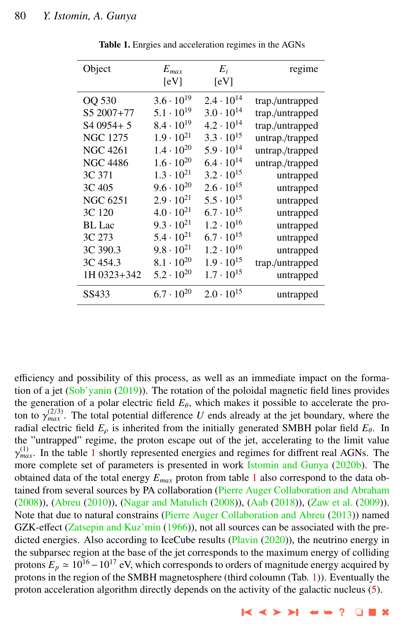| Object                  | $E_{max}$           | $E_i$               | regime          |
|-------------------------|---------------------|---------------------|-----------------|
|                         | [eV]                | [eV]                |                 |
| OQ 530                  | $3.6 \cdot 10^{19}$ | $2.4 \cdot 10^{14}$ | trap./untrapped |
| S5 2007+77              | $5.1 \cdot 10^{19}$ | $3.0 \cdot 10^{14}$ | trap./untrapped |
| S <sub>4</sub> 0954 + 5 | $8.4 \cdot 10^{19}$ | $4.2 \cdot 10^{14}$ | trap./untrapped |
| <b>NGC 1275</b>         | $1.9 \cdot 10^{21}$ | $3.3 \cdot 10^{15}$ | untrap./trapped |
| <b>NGC 4261</b>         | $1.4 \cdot 10^{20}$ | $5.9 \cdot 10^{14}$ | untrap./trapped |
| <b>NGC 4486</b>         | $1.6 \cdot 10^{20}$ | $6.4 \cdot 10^{14}$ | untrap./trapped |
| 3C 371                  | $1.3 \cdot 10^{21}$ | $3.2 \cdot 10^{15}$ | untrapped       |
| 3C 405                  | $9.6 \cdot 10^{20}$ | $2.6 \cdot 10^{15}$ | untrapped       |
| NGC 6251                | $2.9 \cdot 10^{21}$ | $5.5 \cdot 10^{15}$ | untrapped       |
| 3C 120                  | $4.0 \cdot 10^{21}$ | $6.7 \cdot 10^{15}$ | untrapped       |
| <b>BL</b> Lac           | $9.3 \cdot 10^{21}$ | $1.2 \cdot 10^{16}$ | untrapped       |
| 3C 273                  | $5.4 \cdot 10^{21}$ | $6.7 \cdot 10^{15}$ | untrapped       |
| 3C 390.3                | $9.8 \cdot 10^{21}$ | $1.2 \cdot 10^{16}$ | untrapped       |
| 3C 454.3                | $8.1 \cdot 10^{20}$ | $1.9 \cdot 10^{15}$ | trap./untrapped |
| 1H 0323+342             | $5.2 \cdot 10^{20}$ | $1.7 \cdot 10^{15}$ | untrapped       |
| SS433                   | $6.7 \cdot 10^{20}$ | $2.0 \cdot 10^{15}$ | untrapped       |
|                         |                     |                     |                 |

Table 1. Enrgies and acceleration regimes in the AGNs

efficiency and possibility of this process, as well as an immediate impact on the formation of a jet [\(Sob'yanin](#page-9-0) [\(2019\)](#page-9-0)). The rotation of the poloidal magnetic field lines provides the generation of a polar electric field  $E_{\theta}$ , which makes it possible to accelerate the proton to  $\gamma_{max}^{(2/3)}$ . The total potential difference *U* ends already at the jet boundary, where the radial electric field *F* is inherited from the initially generated SMBH polar field *F*<sub>0</sub>. In radial electric field  $E_{\rho}$  is inherited from the initially generated SMBH polar field  $E_{\theta}$ . In the "untrapped" regime, the proton escape out of the jet, accelerating to the limit value *FIRMAR*<br>more complete set of parameters is presented in work [Istomin and Gunya](#page-8-0) [\(2020b\)](#page-8-0). The  $_{max}^{(1)}$ . In the table 1 shortly represented energies and regimes for diffrent real AGNs. The obtained data of the total energy *Emax* proton from table 1 also correspond to the data obtained from several sources by PA collaboration [\(Pierre Auger Collaboration and Abraham](#page-9-0) [\(2008\)](#page-9-0)), [\(Abreu](#page-8-0) [\(2010\)](#page-8-0)), [\(Nagar and Matulich](#page-9-0) [\(2008\)](#page-9-0)), [\(Aab](#page-8-0) [\(2018\)](#page-8-0)), [\(Zaw et al.](#page-9-0) [\(2009\)](#page-9-0)). Note that due to natural constrains [\(Pierre Auger Collaboration and Abreu](#page-9-0) [\(2013\)](#page-9-0)) named GZK-effect [\(Zatsepin and Kuz'min](#page-9-0) [\(1966\)](#page-9-0)), not all sources can be associated with the pre-dicted energies. Also according to IceCube results [\(Plavin](#page-9-0) [\(2020\)](#page-9-0)), the neutrino energy in the subparsec region at the base of the jet corresponds to the maximum energy of colliding protons  $E_p \approx 10^{16} - 10^{17}$  eV, which corresponds to orders of magnitude energy acquired by protons in the region of the SMBH magnetosphere (third coloumn (Tab. 1)). Eventually the proton acceleration algorithm directly depends on the activity of the galactic nucleus [\(5\)](#page-8-0).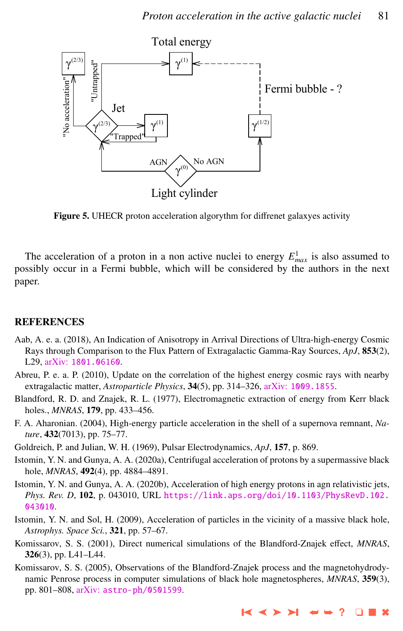<span id="page-8-0"></span>

Figure 5. UHECR proton acceleration algorythm for diffrenet galaxyes activity

The acceleration of a proton in a non active nuclei to energy  $E_{max}^1$  is also assumed to possibly occur in a Fermi bubble, which will be considered by the authors in the next paper.

#### **REFERENCES**

- Aab, A. e. a. (2018), An Indication of Anisotropy in Arrival Directions of Ultra-high-energy Cosmic Rays through Comparison to the Flux Pattern of Extragalactic Gamma-Ray Sources, *ApJ*, 853(2), L29, arXiv: [1801.06160](http://www.arxiv.org/abs/1801.06160).
- Abreu, P. e. a. P. (2010), Update on the correlation of the highest energy cosmic rays with nearby extragalactic matter, *Astroparticle Physics*, 34(5), pp. 314–326, arXiv: [1009.1855](http://www.arxiv.org/abs/1009.1855).
- Blandford, R. D. and Znajek, R. L. (1977), Electromagnetic extraction of energy from Kerr black holes., *MNRAS*, 179, pp. 433–456.
- F. A. Aharonian. (2004), High-energy particle acceleration in the shell of a supernova remnant, *Nature*, 432(7013), pp. 75–77.
- Goldreich, P. and Julian, W. H. (1969), Pulsar Electrodynamics, *ApJ*, 157, p. 869.
- Istomin, Y. N. and Gunya, A. A. (2020a), Centrifugal acceleration of protons by a supermassive black hole, *MNRAS*, 492(4), pp. 4884–4891.
- Istomin, Y. N. and Gunya, A. A. (2020b), Acceleration of high energy protons in agn relativistic jets, *Phys. Rev. D*, 102, p. 043010, URL [https://link.aps.org/doi/10.1103/PhysRevD.102.](https://link.aps.org/doi/10.1103/PhysRevD.102.043010) [043010](https://link.aps.org/doi/10.1103/PhysRevD.102.043010).
- Istomin, Y. N. and Sol, H. (2009), Acceleration of particles in the vicinity of a massive black hole, *Astrophys. Space Sci.*, 321, pp. 57–67.
- Komissarov, S. S. (2001), Direct numerical simulations of the Blandford-Znajek effect, *MNRAS*, 326(3), pp. L41–L44.
- Komissarov, S. S. (2005), Observations of the Blandford-Znajek process and the magnetohydrodynamic Penrose process in computer simulations of black hole magnetospheres, *MNRAS*, 359(3), pp. 801–808, arXiv: [astro-ph/0501599](http://www.arxiv.org/abs/astro-ph/0501599).